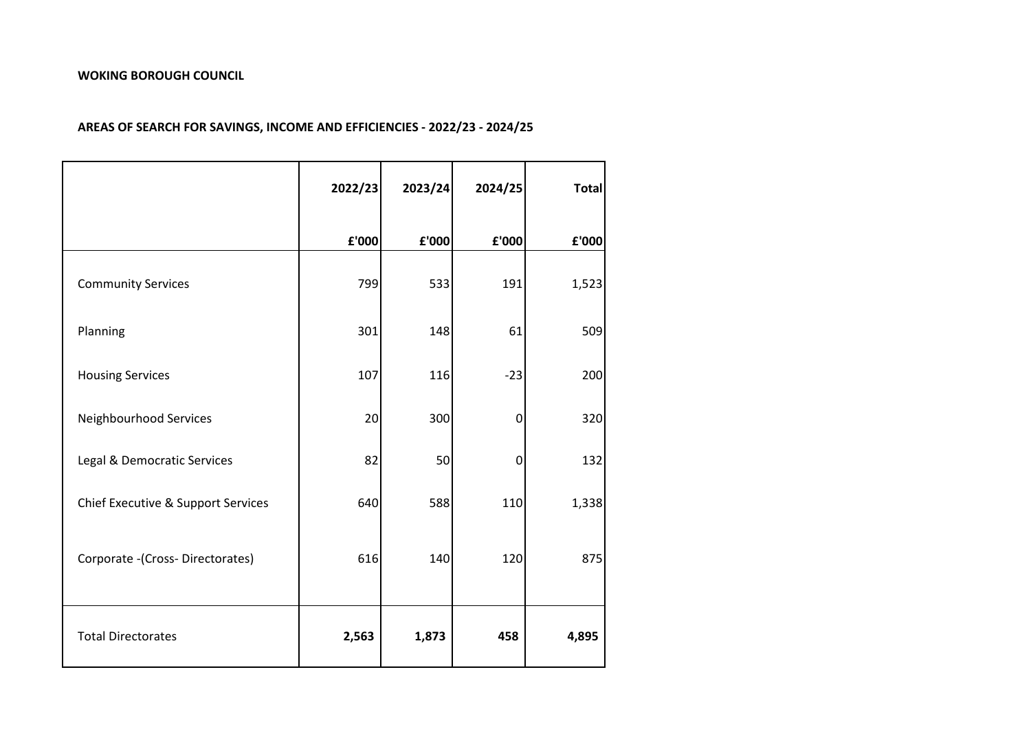|                                    | 2022/23 | 2023/24 | 2024/25 | <b>Total</b> |
|------------------------------------|---------|---------|---------|--------------|
|                                    | £'000   | £'000   | £'000   | £'000        |
| <b>Community Services</b>          | 799     | 533     | 191     | 1,523        |
| Planning                           | 301     | 148     | 61      | 509          |
| <b>Housing Services</b>            | 107     | 116     | $-23$   | 200          |
| Neighbourhood Services             | 20      | 300     | 0       | 320          |
| Legal & Democratic Services        | 82      | 50      | 0       | 132          |
| Chief Executive & Support Services | 640     | 588     | 110     | 1,338        |
| Corporate -(Cross-Directorates)    | 616     | 140     | 120     | 875          |
| <b>Total Directorates</b>          | 2,563   | 1,873   | 458     | 4,895        |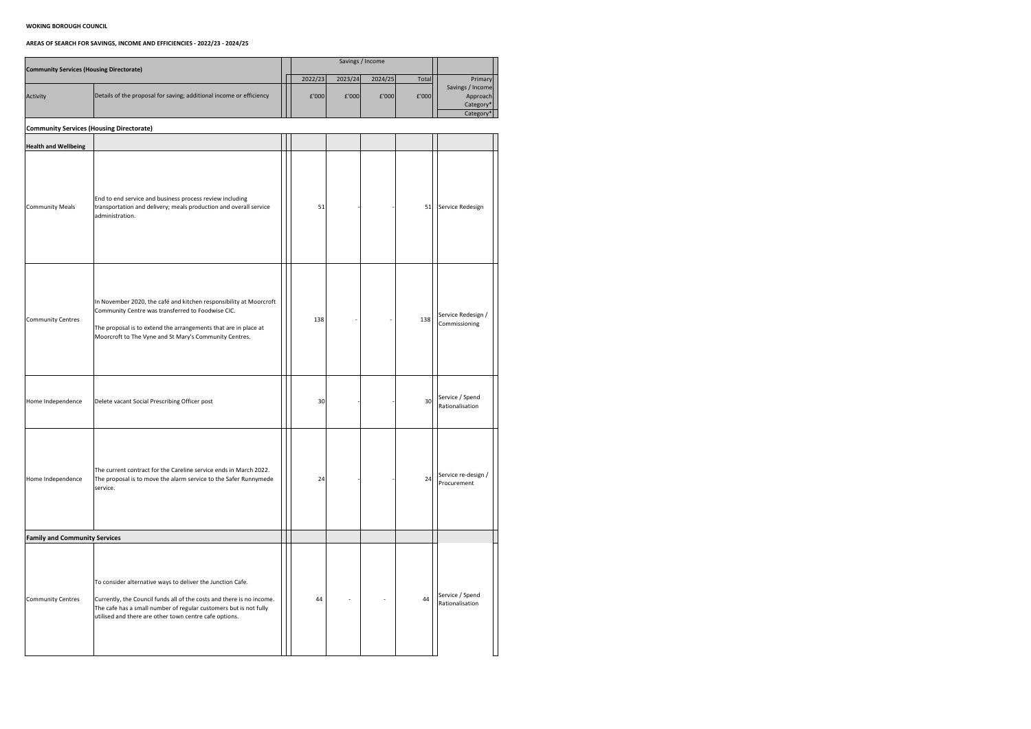| <b>Community Services (Housing Directorate)</b> |                                                                                                                                                                                                                                                                    |  |         | Savings / Income |         |       |                                     |
|-------------------------------------------------|--------------------------------------------------------------------------------------------------------------------------------------------------------------------------------------------------------------------------------------------------------------------|--|---------|------------------|---------|-------|-------------------------------------|
|                                                 |                                                                                                                                                                                                                                                                    |  | 2022/23 | 2023/24          | 2024/25 | Total | Primary<br>Savings / Income         |
| Activity                                        | Details of the proposal for saving; additional income or efficiency                                                                                                                                                                                                |  | f'000   | f'000            | f'000   | f'000 | Approach<br>Category*<br>Category*  |
| <b>Community Services (Housing Directorate)</b> |                                                                                                                                                                                                                                                                    |  |         |                  |         |       |                                     |
| <b>Health and Wellbeing</b>                     |                                                                                                                                                                                                                                                                    |  |         |                  |         |       |                                     |
| <b>Community Meals</b>                          | End to end service and business process review including<br>transportation and delivery; meals production and overall service<br>administration.                                                                                                                   |  | 51      |                  |         | 51    | Service Redesign                    |
| Community Centres                               | In November 2020, the café and kitchen responsibility at Moorcroft<br>Community Centre was transferred to Foodwise CIC.<br>The proposal is to extend the arrangements that are in place at<br>Moorcroft to The Vyne and St Mary's Community Centres.               |  | 138     |                  |         | 138   | Service Redesign /<br>Commissioning |
| Home Independence                               | Delete vacant Social Prescribing Officer post                                                                                                                                                                                                                      |  | 30      |                  |         | 30    | Service / Spend<br>Rationalisation  |
| Home Independence                               | The current contract for the Careline service ends in March 2022.<br>The proposal is to move the alarm service to the Safer Runnymede<br>service.                                                                                                                  |  | 24      |                  |         | 24    | Service re-design /<br>Procurement  |
| <b>Family and Community Services</b>            |                                                                                                                                                                                                                                                                    |  |         |                  |         |       |                                     |
| Community Centres                               | To consider alternative ways to deliver the Junction Cafe.<br>Currently, the Council funds all of the costs and there is no income.<br>The cafe has a small number of regular customers but is not fully<br>utilised and there are other town centre cafe options. |  | 44      |                  |         | 44    | Service / Spend<br>Rationalisation  |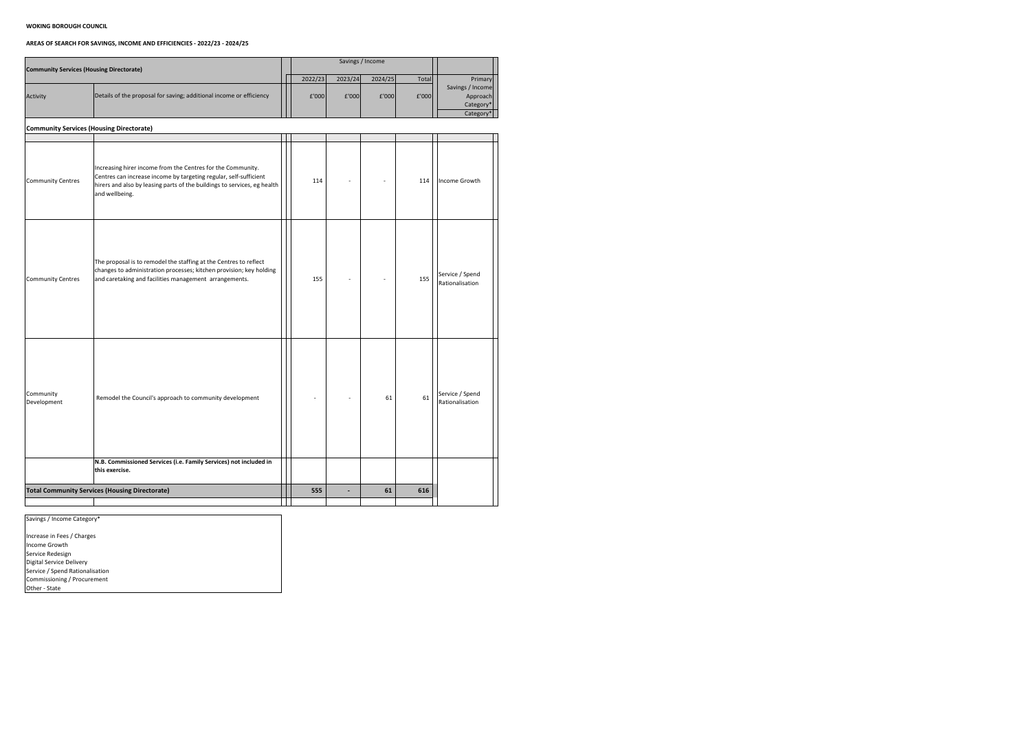# **AREAS OF SEARCH FOR SAVINGS, INCOME AND EFFICIENCIES - 2022/23 - 2024/25**

|                                          | <b>Community Services (Housing Directorate)</b>                                                                                                                                                                                |  |         | Savings / Income |         |       |                                    |
|------------------------------------------|--------------------------------------------------------------------------------------------------------------------------------------------------------------------------------------------------------------------------------|--|---------|------------------|---------|-------|------------------------------------|
|                                          |                                                                                                                                                                                                                                |  | 2022/23 | 2023/24          | 2024/25 | Total | Primary                            |
|                                          |                                                                                                                                                                                                                                |  |         |                  |         |       | Savings / Income                   |
| Activity                                 | Details of the proposal for saving; additional income or efficiency                                                                                                                                                            |  | f'000   | f'000            | f'000   | E'000 | Approach                           |
|                                          |                                                                                                                                                                                                                                |  |         |                  |         |       | Category*<br>Category*             |
|                                          |                                                                                                                                                                                                                                |  |         |                  |         |       |                                    |
| Community Services (Housing Directorate) |                                                                                                                                                                                                                                |  |         |                  |         |       |                                    |
|                                          |                                                                                                                                                                                                                                |  |         |                  |         |       |                                    |
| Community Centres                        | Increasing hirer income from the Centres for the Community.<br>Centres can increase income by targeting regular, self-sufficient<br>hirers and also by leasing parts of the buildings to services, eg health<br>and wellbeing. |  | 114     |                  |         | 114   | Income Growth                      |
| Community Centres                        | The proposal is to remodel the staffing at the Centres to reflect<br>changes to administration processes; kitchen provision; key holding<br>and caretaking and facilities management arrangements.                             |  | 155     |                  |         | 155   | Service / Spend<br>Rationalisation |
| Community<br>Development                 | Remodel the Council's approach to community development                                                                                                                                                                        |  |         |                  | 61      | 61    | Service / Spend<br>Rationalisation |
|                                          | N.B. Commissioned Services (i.e. Family Services) not included in<br>this exercise.                                                                                                                                            |  |         |                  |         |       |                                    |
|                                          | <b>Total Community Services (Housing Directorate)</b>                                                                                                                                                                          |  | 555     |                  | 61      | 616   |                                    |
|                                          |                                                                                                                                                                                                                                |  |         |                  |         |       |                                    |
|                                          |                                                                                                                                                                                                                                |  |         |                  |         |       |                                    |

Increase in Fees / Charges Income Growth Service Redesign Digital Service Delivery Service / Spend Rationalisation Commissioning / Procurement Other - State

Savings / Income Category\*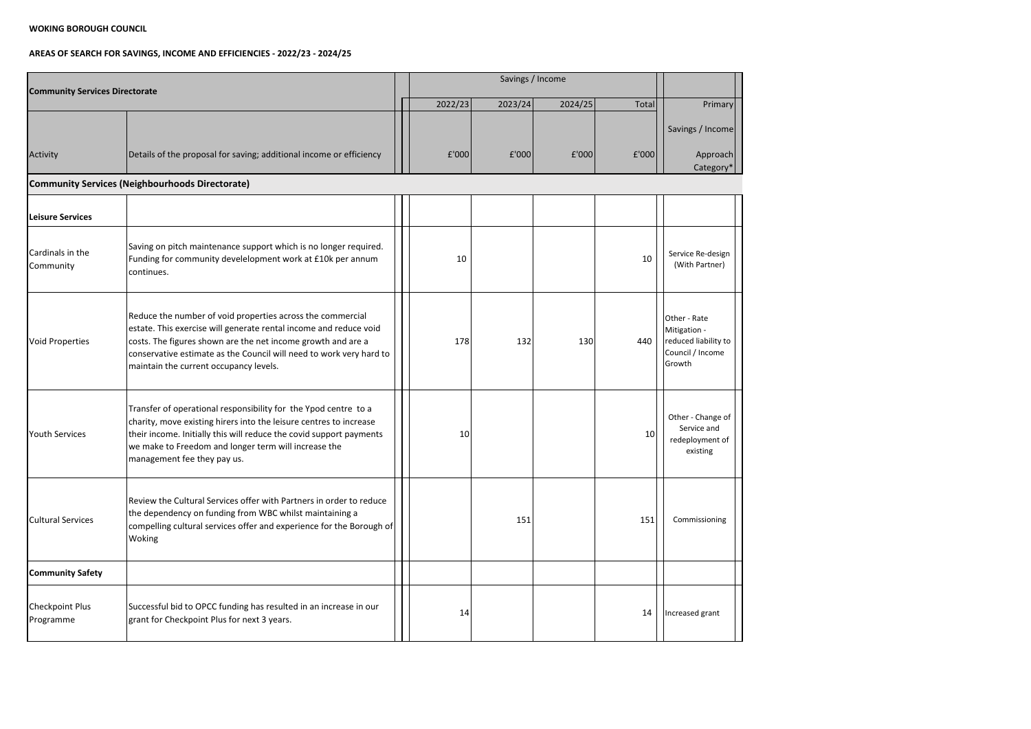# **AREAS OF SEARCH FOR SAVINGS, INCOME AND EFFICIENCIES - 2022/23 - 2024/25**

| <b>Community Services Directorate</b> |                                                                                                                                                                                                                                                                                                                  |         | Savings / Income |         |                 |                                                                                    |  |  |  |  |
|---------------------------------------|------------------------------------------------------------------------------------------------------------------------------------------------------------------------------------------------------------------------------------------------------------------------------------------------------------------|---------|------------------|---------|-----------------|------------------------------------------------------------------------------------|--|--|--|--|
|                                       |                                                                                                                                                                                                                                                                                                                  | 2022/23 | 2023/24          | 2024/25 | Total           | Primary                                                                            |  |  |  |  |
| Activity                              | Details of the proposal for saving; additional income or efficiency                                                                                                                                                                                                                                              | £'000   | f'000            | f'000   | f'000           | Savings / Income<br>Approach<br>Category <sup>*</sup>                              |  |  |  |  |
|                                       | Community Services (Neighbourhoods Directorate)                                                                                                                                                                                                                                                                  |         |                  |         |                 |                                                                                    |  |  |  |  |
| <b>Leisure Services</b>               |                                                                                                                                                                                                                                                                                                                  |         |                  |         |                 |                                                                                    |  |  |  |  |
| Cardinals in the<br>Community         | Saving on pitch maintenance support which is no longer required.<br>Funding for community develelopment work at £10k per annum<br>continues.                                                                                                                                                                     | 10      |                  |         | 10              | Service Re-design<br>(With Partner)                                                |  |  |  |  |
| <b>Void Properties</b>                | Reduce the number of void properties across the commercial<br>estate. This exercise will generate rental income and reduce void<br>costs. The figures shown are the net income growth and are a<br>conservative estimate as the Council will need to work very hard to<br>maintain the current occupancy levels. | 178     | 132              | 130     | 440             | Other - Rate<br>Mitigation -<br>reduced liability to<br>Council / Income<br>Growth |  |  |  |  |
| <b>Youth Services</b>                 | Transfer of operational responsibility for the Ypod centre to a<br>charity, move existing hirers into the leisure centres to increase<br>their income. Initially this will reduce the covid support payments<br>we make to Freedom and longer term will increase the<br>management fee they pay us.              | 10      |                  |         | 10 <sup>1</sup> | Other - Change of<br>Service and<br>redeployment of<br>existing                    |  |  |  |  |
| <b>Cultural Services</b>              | Review the Cultural Services offer with Partners in order to reduce<br>the dependency on funding from WBC whilst maintaining a<br>compelling cultural services offer and experience for the Borough of<br>Woking                                                                                                 |         | 151              |         | 151             | Commissioning                                                                      |  |  |  |  |
| <b>Community Safety</b>               |                                                                                                                                                                                                                                                                                                                  |         |                  |         |                 |                                                                                    |  |  |  |  |
| <b>Checkpoint Plus</b><br>Programme   | Successful bid to OPCC funding has resulted in an increase in our<br>grant for Checkpoint Plus for next 3 years.                                                                                                                                                                                                 | 14      |                  |         | 14              | Increased grant                                                                    |  |  |  |  |

and the contract of the contract of ╶╋┩┈┈┈┈┈┈┈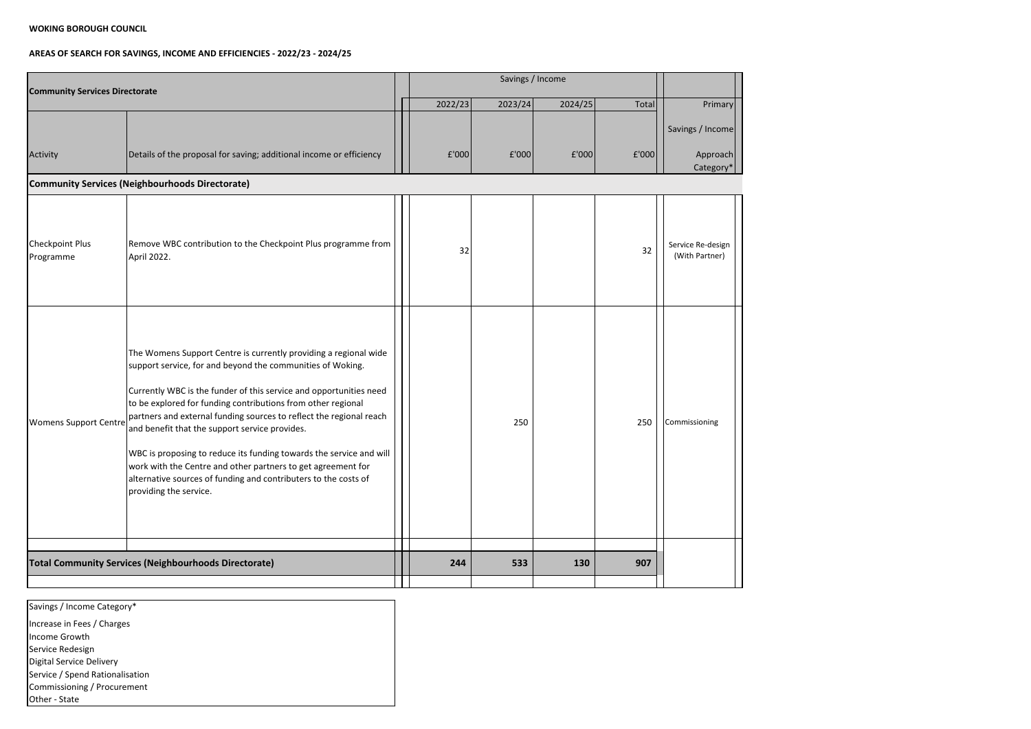# **AREAS OF SEARCH FOR SAVINGS, INCOME AND EFFICIENCIES - 2022/23 - 2024/25**

| <b>Community Services Directorate</b>                        |                                                                                                                                                                                                                                                                                                                                                                                                                                                                                                                                                                                                                                   |  |         |         |         |       |                                     |
|--------------------------------------------------------------|-----------------------------------------------------------------------------------------------------------------------------------------------------------------------------------------------------------------------------------------------------------------------------------------------------------------------------------------------------------------------------------------------------------------------------------------------------------------------------------------------------------------------------------------------------------------------------------------------------------------------------------|--|---------|---------|---------|-------|-------------------------------------|
|                                                              |                                                                                                                                                                                                                                                                                                                                                                                                                                                                                                                                                                                                                                   |  | 2022/23 | 2023/24 | 2024/25 | Total | Primary                             |
| Activity                                                     | Details of the proposal for saving; additional income or efficiency                                                                                                                                                                                                                                                                                                                                                                                                                                                                                                                                                               |  | £'000   | £'000   | f'000   | f'000 | Savings / Income<br>Approach        |
|                                                              | Community Services (Neighbourhoods Directorate)                                                                                                                                                                                                                                                                                                                                                                                                                                                                                                                                                                                   |  |         |         |         |       | Category*                           |
| <b>Checkpoint Plus</b><br>Programme                          | Remove WBC contribution to the Checkpoint Plus programme from<br>April 2022.                                                                                                                                                                                                                                                                                                                                                                                                                                                                                                                                                      |  | 32      |         |         | 32    | Service Re-design<br>(With Partner) |
| <b>Womens Support Centre</b>                                 | The Womens Support Centre is currently providing a regional wide<br>support service, for and beyond the communities of Woking.<br>Currently WBC is the funder of this service and opportunities need<br>to be explored for funding contributions from other regional<br>partners and external funding sources to reflect the regional reach<br>and benefit that the support service provides.<br>WBC is proposing to reduce its funding towards the service and will<br>work with the Centre and other partners to get agreement for<br>alternative sources of funding and contributers to the costs of<br>providing the service. |  |         | 250     |         | 250   | Commissioning                       |
| <b>Total Community Services (Neighbourhoods Directorate)</b> |                                                                                                                                                                                                                                                                                                                                                                                                                                                                                                                                                                                                                                   |  | 244     | 533     | 130     | 907   |                                     |

Savings / Income Category\*

Increase in Fees / Charges

Income Growth

Service Redesign

Digital Service Delivery

Service / Spend Rationalisation

Commissioning / Procurement

Other - State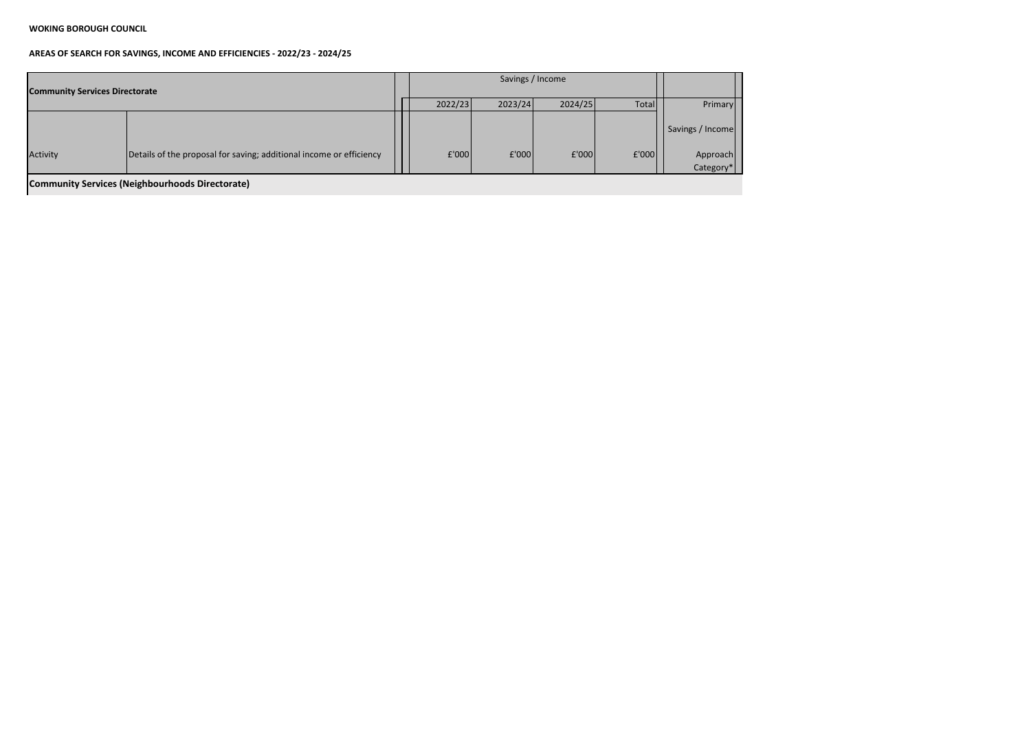| <b>Community Services Directorate</b>           |                                                                     |  |         | Savings / Income |         |       |                       |  |  |
|-------------------------------------------------|---------------------------------------------------------------------|--|---------|------------------|---------|-------|-----------------------|--|--|
|                                                 |                                                                     |  | 2022/23 | 2023/24          | 2024/25 | Total | <b>Primary</b>        |  |  |
|                                                 |                                                                     |  |         |                  |         |       | Savings / Income      |  |  |
| Activity                                        | Details of the proposal for saving; additional income or efficiency |  | f'000   | f'000            | f'000   | f'000 | Approach<br>Category* |  |  |
| Community Services (Neighbourhoods Directorate) |                                                                     |  |         |                  |         |       |                       |  |  |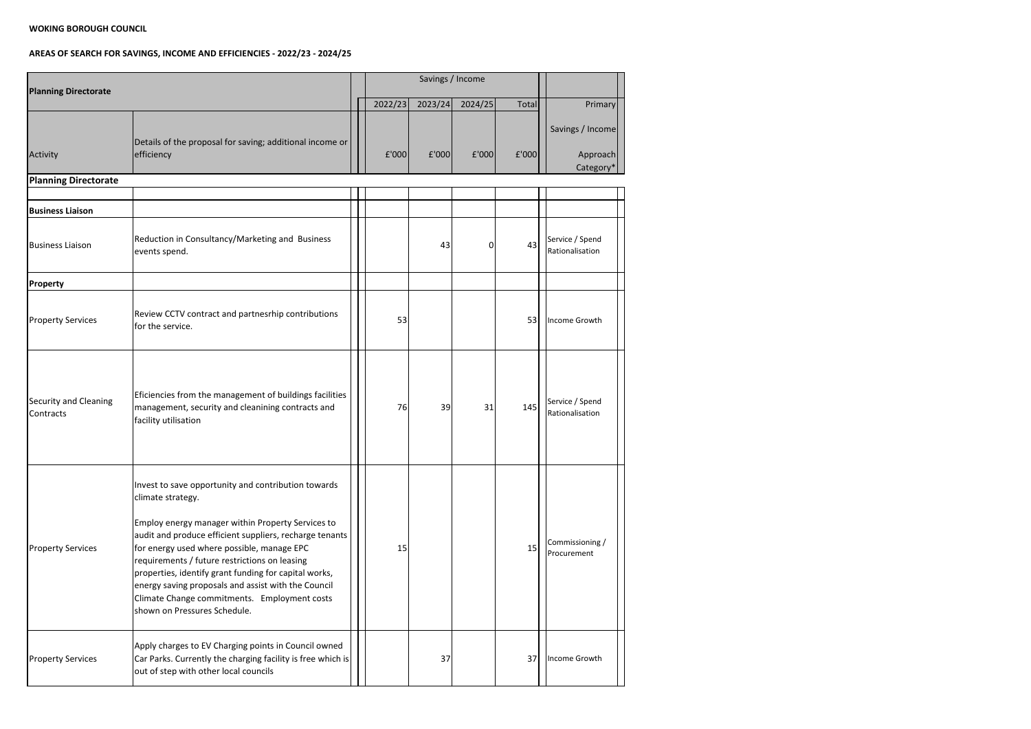| <b>Planning Directorate</b>               |                                                                                                                                                                                                                                                                                                                                                                                                                                                                                         |         | Savings / Income |         |       |                                           |
|-------------------------------------------|-----------------------------------------------------------------------------------------------------------------------------------------------------------------------------------------------------------------------------------------------------------------------------------------------------------------------------------------------------------------------------------------------------------------------------------------------------------------------------------------|---------|------------------|---------|-------|-------------------------------------------|
|                                           |                                                                                                                                                                                                                                                                                                                                                                                                                                                                                         | 2022/23 | 2023/24          | 2024/25 | Total | Primary                                   |
| Activity                                  | Details of the proposal for saving; additional income or<br>efficiency                                                                                                                                                                                                                                                                                                                                                                                                                  | E'000   | E'000            | E'000   | £'000 | Savings / Income<br>Approach<br>Category* |
| <b>Planning Directorate</b>               |                                                                                                                                                                                                                                                                                                                                                                                                                                                                                         |         |                  |         |       |                                           |
|                                           |                                                                                                                                                                                                                                                                                                                                                                                                                                                                                         |         |                  |         |       |                                           |
| <b>Business Liaison</b>                   |                                                                                                                                                                                                                                                                                                                                                                                                                                                                                         |         |                  |         |       |                                           |
| <b>Business Liaison</b>                   | Reduction in Consultancy/Marketing and Business<br>events spend.                                                                                                                                                                                                                                                                                                                                                                                                                        |         | 43               | 0       | 43    | Service / Spend<br>Rationalisation        |
| Property                                  |                                                                                                                                                                                                                                                                                                                                                                                                                                                                                         |         |                  |         |       |                                           |
| <b>Property Services</b>                  | Review CCTV contract and partnesrhip contributions<br>for the service.                                                                                                                                                                                                                                                                                                                                                                                                                  | 53      |                  |         | 53    | Income Growth                             |
| <b>Security and Cleaning</b><br>Contracts | Eficiencies from the management of buildings facilities<br>management, security and cleanining contracts and<br>facility utilisation                                                                                                                                                                                                                                                                                                                                                    | 76      | 39               | 31      | 145   | Service / Spend<br>Rationalisation        |
| <b>Property Services</b>                  | Invest to save opportunity and contribution towards<br>climate strategy.<br>Employ energy manager within Property Services to<br>audit and produce efficient suppliers, recharge tenants<br>for energy used where possible, manage EPC<br>requirements / future restrictions on leasing<br>properties, identify grant funding for capital works,<br>energy saving proposals and assist with the Council<br>Climate Change commitments. Employment costs<br>shown on Pressures Schedule. | 15      |                  |         | 15    | Commissioning /<br>Procurement            |
| <b>Property Services</b>                  | Apply charges to EV Charging points in Council owned<br>Car Parks. Currently the charging facility is free which is<br>out of step with other local councils                                                                                                                                                                                                                                                                                                                            |         | 37               |         | 37    | Income Growth                             |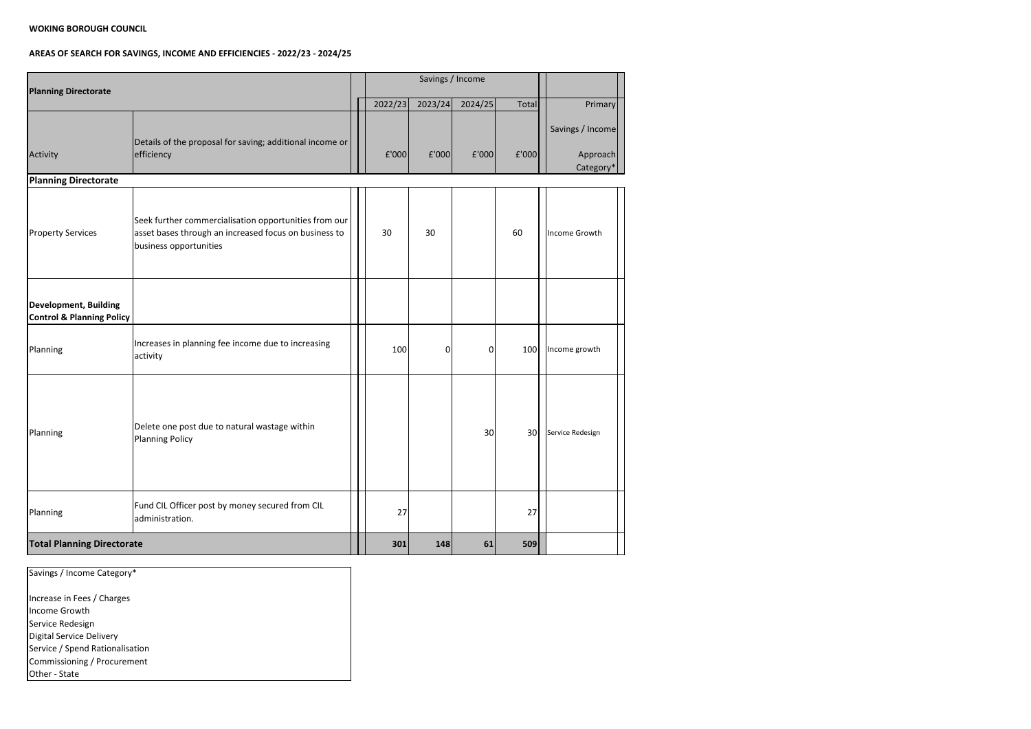| <b>Planning Directorate</b>                                          |                                                                                                                                          |         | Savings / Income |         |       |                                           |
|----------------------------------------------------------------------|------------------------------------------------------------------------------------------------------------------------------------------|---------|------------------|---------|-------|-------------------------------------------|
|                                                                      |                                                                                                                                          | 2022/23 | 2023/24          | 2024/25 | Total | Primary                                   |
| Activity                                                             | Details of the proposal for saving; additional income or<br>efficiency                                                                   | f'000   | £'000            | f'000   | £'000 | Savings / Income<br>Approach<br>Category* |
| <b>Planning Directorate</b>                                          |                                                                                                                                          |         |                  |         |       |                                           |
| <b>Property Services</b>                                             | Seek further commercialisation opportunities from our<br>asset bases through an increased focus on business to<br>business opportunities | 30      | 30               |         | 60    | Income Growth                             |
| <b>Development, Building</b><br><b>Control &amp; Planning Policy</b> |                                                                                                                                          |         |                  |         |       |                                           |
| Planning                                                             | Increases in planning fee income due to increasing<br>activity                                                                           | 100     | $\overline{0}$   | 0       | 100   | Income growth                             |
| Planning                                                             | Delete one post due to natural wastage within<br><b>Planning Policy</b>                                                                  |         |                  | 30      | 30    | Service Redesign                          |
| Planning                                                             | Fund CIL Officer post by money secured from CIL<br>administration.                                                                       | 27      |                  |         | 27    |                                           |
| <b>Total Planning Directorate</b>                                    |                                                                                                                                          | 301     | 148              | 61      | 509   |                                           |

| Savings / Income Category*      |
|---------------------------------|
|                                 |
| Increase in Fees / Charges      |
| Income Growth                   |
| Service Redesign                |
| Digital Service Delivery        |
| Service / Spend Rationalisation |
| Commissioning / Procurement     |
| <b>Other</b> - State            |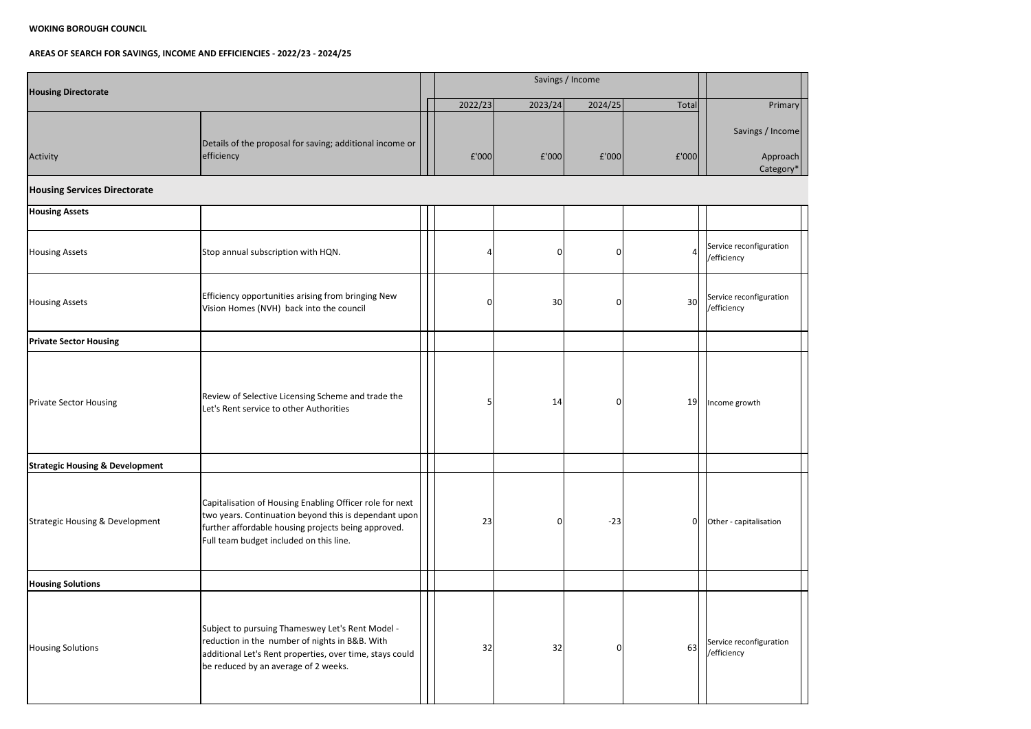

| <b>Housing Directorate</b>                 |                                                                                                                                                                                                                     |  |         | Savings / Income |         |                 |                                           |
|--------------------------------------------|---------------------------------------------------------------------------------------------------------------------------------------------------------------------------------------------------------------------|--|---------|------------------|---------|-----------------|-------------------------------------------|
|                                            |                                                                                                                                                                                                                     |  | 2022/23 | 2023/24          | 2024/25 | Total           | Primary                                   |
| Activity                                   | Details of the proposal for saving; additional income or<br>efficiency                                                                                                                                              |  | £'000   | E'000            | f'000   | £'000           | Savings / Income<br>Approach<br>Category* |
| <b>Housing Services Directorate</b>        |                                                                                                                                                                                                                     |  |         |                  |         |                 |                                           |
| <b>Housing Assets</b>                      |                                                                                                                                                                                                                     |  |         |                  |         |                 |                                           |
| <b>Housing Assets</b>                      | Stop annual subscription with HQN.                                                                                                                                                                                  |  |         | $\overline{0}$   | ΩI      | 4               | Service reconfiguration<br>/efficiency    |
| <b>Housing Assets</b>                      | Efficiency opportunities arising from bringing New<br>Vision Homes (NVH) back into the council                                                                                                                      |  | 0       | 30               | 01      | 30 <sup>°</sup> | Service reconfiguration<br>/efficiency    |
| <b>Private Sector Housing</b>              |                                                                                                                                                                                                                     |  |         |                  |         |                 |                                           |
| <b>Private Sector Housing</b>              | Review of Selective Licensing Scheme and trade the<br>Let's Rent service to other Authorities                                                                                                                       |  |         | 14               | ΩI      | 19              | Income growth                             |
| <b>Strategic Housing &amp; Development</b> |                                                                                                                                                                                                                     |  |         |                  |         |                 |                                           |
| Strategic Housing & Development            | Capitalisation of Housing Enabling Officer role for next<br>two years. Continuation beyond this is dependant upon<br>further affordable housing projects being approved.<br>Full team budget included on this line. |  | 23      | $\Omega$         | $-23$   | 0               | Other - capitalisation                    |
| <b>Housing Solutions</b>                   |                                                                                                                                                                                                                     |  |         |                  |         |                 |                                           |
| <b>Housing Solutions</b>                   | Subject to pursuing Thameswey Let's Rent Model -<br>reduction in the number of nights in B&B. With<br>additional Let's Rent properties, over time, stays could<br>be reduced by an average of 2 weeks.              |  | 32      | 32               | ი       | 63              | Service reconfiguration<br>/efficiency    |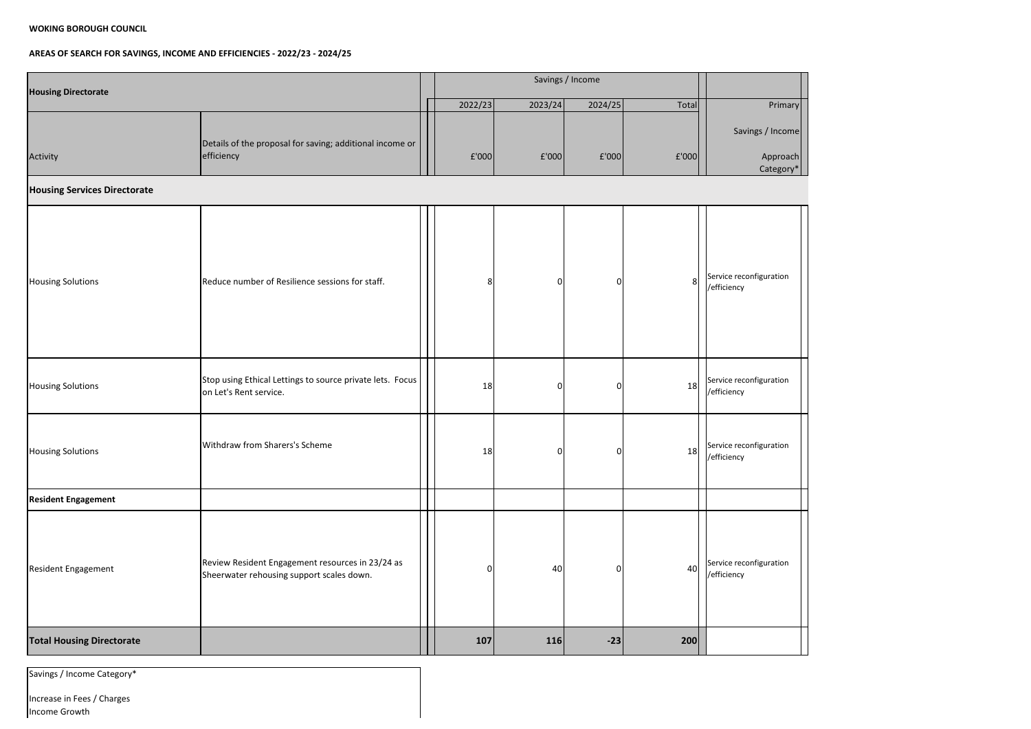# **AREAS OF SEARCH FOR SAVINGS, INCOME AND EFFICIENCIES - 2022/23 - 2024/25**



Increase in Fees / Charges Income Growth

| <b>Housing Directorate</b>          |                                                                                               |                |                |                |       |                                           |
|-------------------------------------|-----------------------------------------------------------------------------------------------|----------------|----------------|----------------|-------|-------------------------------------------|
|                                     |                                                                                               | 2022/23        | 2023/24        | 2024/25        | Total | Primary                                   |
| Activity                            | Details of the proposal for saving; additional income or<br>efficiency                        | £'000          | f'000          | f'000          | £'000 | Savings / Income<br>Approach<br>Category* |
| <b>Housing Services Directorate</b> |                                                                                               |                |                |                |       |                                           |
| <b>Housing Solutions</b>            | Reduce number of Resilience sessions for staff.                                               | 8              | $\Omega$       | 01             | 8     | Service reconfiguration<br>/efficiency    |
| <b>Housing Solutions</b>            | Stop using Ethical Lettings to source private lets. Focus<br>on Let's Rent service.           | 18             | 0              | O.             | 18    | Service reconfiguration<br>/efficiency    |
| <b>Housing Solutions</b>            | Withdraw from Sharers's Scheme                                                                | 18             | $\overline{0}$ | $\overline{0}$ | 18    | Service reconfiguration<br>/efficiency    |
| <b>Resident Engagement</b>          |                                                                                               |                |                |                |       |                                           |
| <b>Resident Engagement</b>          | Review Resident Engagement resources in 23/24 as<br>Sheerwater rehousing support scales down. | $\overline{0}$ | 40             | ΩI             | 40    | Service reconfiguration<br>/efficiency    |
| <b>Total Housing Directorate</b>    |                                                                                               | 107            | 116            | $-23$          | 200   |                                           |

Savings / Income Category\*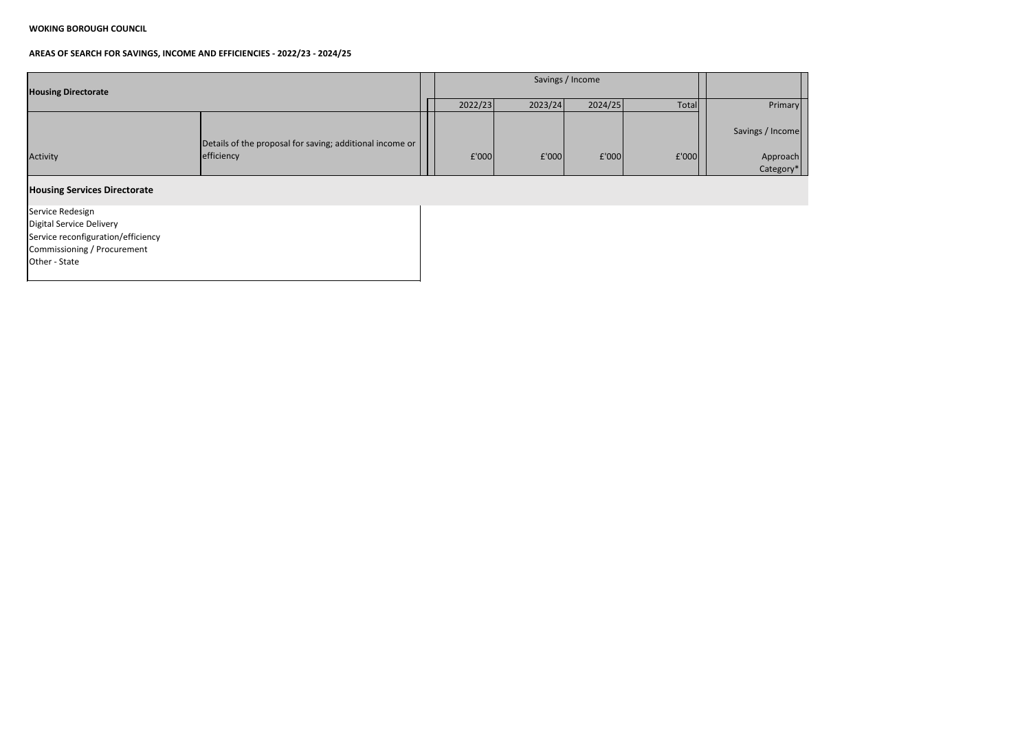

| <b>Housing Directorate</b>          |                                                          |         |         | Savings / Income |       |                       |
|-------------------------------------|----------------------------------------------------------|---------|---------|------------------|-------|-----------------------|
|                                     |                                                          | 2022/23 | 2023/24 | 2024/25          | Total | Primary               |
|                                     | Details of the proposal for saving; additional income or |         |         |                  |       | Savings / Income      |
| Activity                            | efficiency                                               | f'000   | f'000   | f'000            | f'000 | Approach<br>Category* |
| <b>Housing Services Directorate</b> |                                                          |         |         |                  |       |                       |
| Service Redesign                    |                                                          |         |         |                  |       |                       |
| Digital Service Delivery            |                                                          |         |         |                  |       |                       |
| Service reconfiguration/efficiency  |                                                          |         |         |                  |       |                       |
| Commissioning / Procurement         |                                                          |         |         |                  |       |                       |
| Other - State                       |                                                          |         |         |                  |       |                       |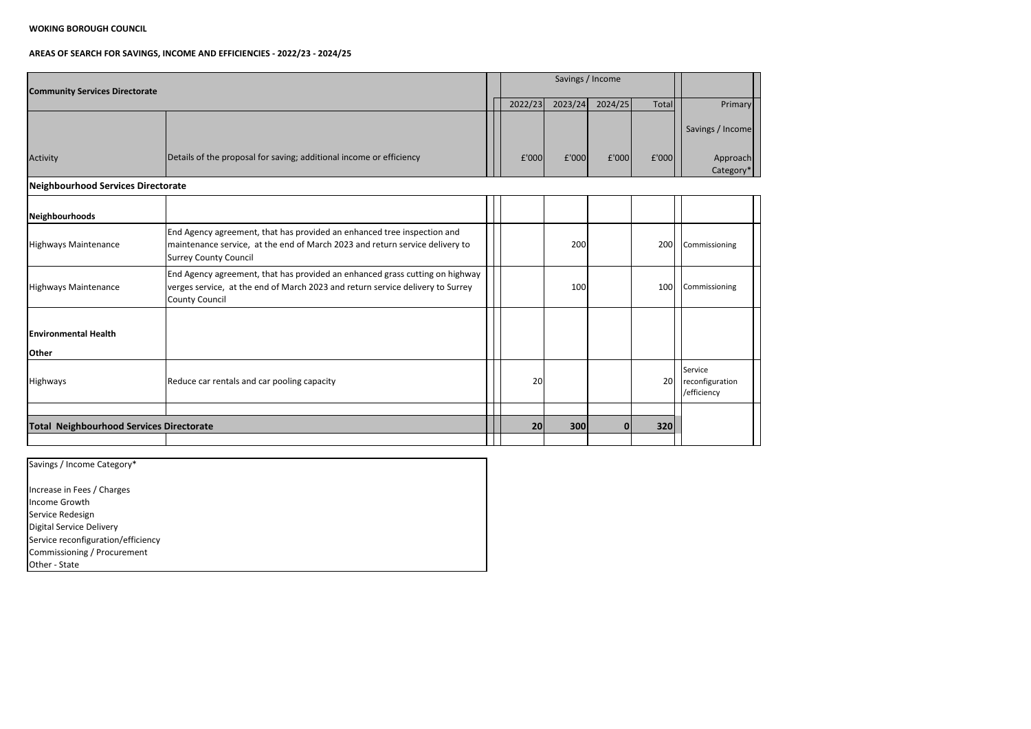# **AREAS OF SEARCH FOR SAVINGS, INCOME AND EFFICIENCIES - 2022/23 - 2024/25**

| <b>Community Services Directorate</b>           |                                                                                                                                                                                         |         | Savings / Income |         |       |                                                  |
|-------------------------------------------------|-----------------------------------------------------------------------------------------------------------------------------------------------------------------------------------------|---------|------------------|---------|-------|--------------------------------------------------|
|                                                 |                                                                                                                                                                                         | 2022/23 | 2023/24          | 2024/25 | Total | Primary                                          |
|                                                 |                                                                                                                                                                                         |         |                  |         |       | Savings / Income                                 |
| Activity                                        | Details of the proposal for saving; additional income or efficiency                                                                                                                     | f'000   | E'000            | E'000   | £'000 | Approach<br>Category*                            |
| Neighbourhood Services Directorate              |                                                                                                                                                                                         |         |                  |         |       |                                                  |
| Neighbourhoods                                  |                                                                                                                                                                                         |         |                  |         |       |                                                  |
| Highways Maintenance                            | End Agency agreement, that has provided an enhanced tree inspection and<br>maintenance service, at the end of March 2023 and return service delivery to<br><b>Surrey County Council</b> |         | 200              |         | 200   | Commissioning                                    |
| <b>Highways Maintenance</b>                     | End Agency agreement, that has provided an enhanced grass cutting on highway<br>verges service, at the end of March 2023 and return service delivery to Surrey<br>County Council        |         | 100              |         | 100   | Commissioning                                    |
| <b>Environmental Health</b><br><b>Other</b>     |                                                                                                                                                                                         |         |                  |         |       |                                                  |
| Highways                                        | Reduce car rentals and car pooling capacity                                                                                                                                             | 20      |                  |         | 20    | <b>Service</b><br>reconfiguration<br>/efficiency |
|                                                 |                                                                                                                                                                                         |         |                  |         |       |                                                  |
| <b>Total Neighbourhood Services Directorate</b> |                                                                                                                                                                                         | 20      | 300              | n       | 320   |                                                  |

Savings / Income Category\* Increase in Fees / Charges Income Growth Service Redesign Digital Service Delivery Service reconfiguration/efficiency Commissioning / Procurement Other - State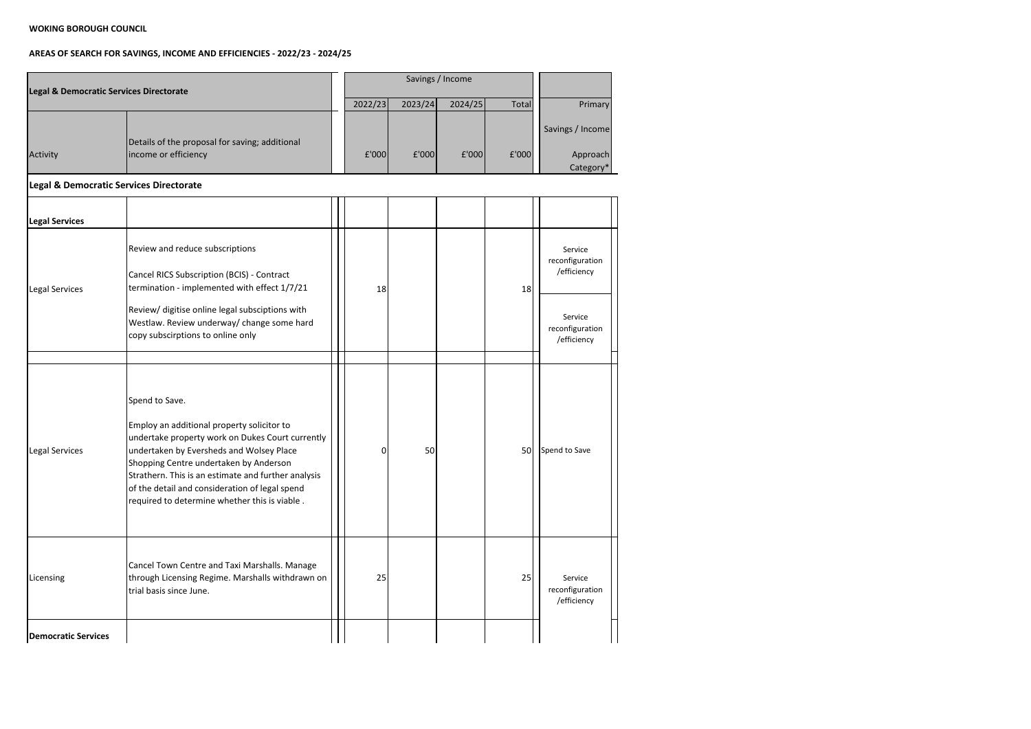|                            | Legal & Democratic Services Directorate                                                                                                                                                                                                                                                                                                                          |         |         |         |       |                                                                                        |
|----------------------------|------------------------------------------------------------------------------------------------------------------------------------------------------------------------------------------------------------------------------------------------------------------------------------------------------------------------------------------------------------------|---------|---------|---------|-------|----------------------------------------------------------------------------------------|
|                            |                                                                                                                                                                                                                                                                                                                                                                  | 2022/23 | 2023/24 | 2024/25 | Total | Primary                                                                                |
| Activity                   | Details of the proposal for saving; additional<br>income or efficiency                                                                                                                                                                                                                                                                                           | £'000   | £'000   | £'000   | £'000 | Savings / Income<br>Approach<br>Category*                                              |
|                            | <b>Legal &amp; Democratic Services Directorate</b>                                                                                                                                                                                                                                                                                                               |         |         |         |       |                                                                                        |
| <b>Legal Services</b>      |                                                                                                                                                                                                                                                                                                                                                                  |         |         |         |       |                                                                                        |
| <b>Legal Services</b>      | Review and reduce subscriptions<br>Cancel RICS Subscription (BCIS) - Contract<br>termination - implemented with effect 1/7/21<br>Review/ digitise online legal subsciptions with<br>Westlaw. Review underway/ change some hard<br>copy subscirptions to online only                                                                                              | 18      |         |         | 18    | Service<br>reconfiguration<br>/efficiency<br>Service<br>reconfiguration<br>/efficiency |
| <b>Legal Services</b>      | Spend to Save.<br>Employ an additional property solicitor to<br>undertake property work on Dukes Court currently<br>undertaken by Eversheds and Wolsey Place<br>Shopping Centre undertaken by Anderson<br>Strathern. This is an estimate and further analysis<br>of the detail and consideration of legal spend<br>required to determine whether this is viable. | 0       | 50      |         | 50    | Spend to Save                                                                          |
| Licensing                  | Cancel Town Centre and Taxi Marshalls. Manage<br>through Licensing Regime. Marshalls withdrawn on<br>trial basis since June.                                                                                                                                                                                                                                     | 25      |         |         | 25    | Service<br>reconfiguration<br>/efficiency                                              |
| <b>Democratic Services</b> |                                                                                                                                                                                                                                                                                                                                                                  |         |         |         |       |                                                                                        |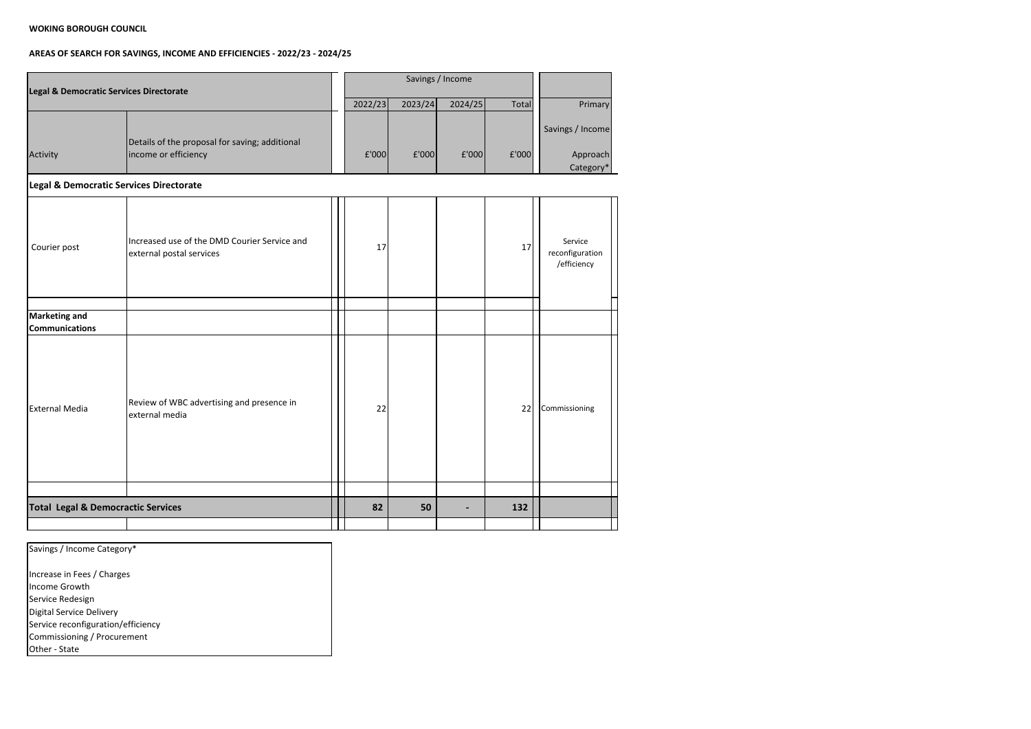| Legal & Democratic Services Directorate        |                                                                          |  |         | Savings / Income |         |       |                                           |  |  |
|------------------------------------------------|--------------------------------------------------------------------------|--|---------|------------------|---------|-------|-------------------------------------------|--|--|
|                                                |                                                                          |  | 2022/23 | 2023/24          | 2024/25 | Total | <b>Primary</b>                            |  |  |
| Activity                                       | Details of the proposal for saving; additional<br>income or efficiency   |  | £'000   | £'000            | f'000   | £'000 | Savings / Income<br>Approach<br>Category* |  |  |
| Legal & Democratic Services Directorate        |                                                                          |  |         |                  |         |       |                                           |  |  |
| Courier post                                   | Increased use of the DMD Courier Service and<br>external postal services |  | 17      |                  |         | 17    | Service<br>reconfiguration<br>/efficiency |  |  |
|                                                |                                                                          |  |         |                  |         |       |                                           |  |  |
| <b>Marketing and</b>                           |                                                                          |  |         |                  |         |       |                                           |  |  |
| <b>Communications</b><br><b>External Media</b> | Review of WBC advertising and presence in<br>external media              |  | 22      |                  |         | 22    | Commissioning                             |  |  |
|                                                |                                                                          |  |         |                  |         |       |                                           |  |  |
| <b>Total Legal &amp; Democractic Services</b>  |                                                                          |  | 82      | 50               |         | 132   |                                           |  |  |
|                                                |                                                                          |  |         |                  |         |       |                                           |  |  |

| Savings / Income Category*         |
|------------------------------------|
| Increase in Fees / Charges         |
| Income Growth                      |
| Service Redesign                   |
| Digital Service Delivery           |
| Service reconfiguration/efficiency |
| Commissioning / Procurement        |
| Other - State                      |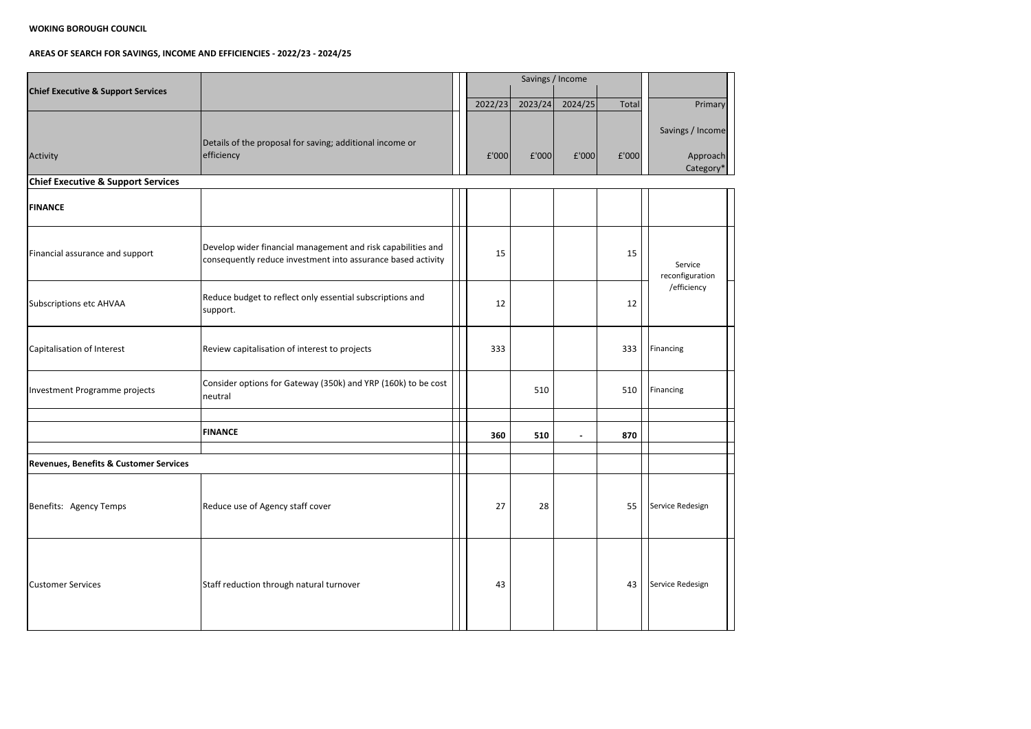| <b>Chief Executive &amp; Support Services</b>     |                                                                                                                              |         |         | Savings / Income |       |                                           |
|---------------------------------------------------|------------------------------------------------------------------------------------------------------------------------------|---------|---------|------------------|-------|-------------------------------------------|
|                                                   |                                                                                                                              | 2022/23 | 2023/24 | 2024/25          | Total | Primary                                   |
| Activity                                          | Details of the proposal for saving; additional income or<br>efficiency                                                       | £'000   | f'000   | f'000            | f'000 | Savings / Income<br>Approach<br>Category* |
| <b>Chief Executive &amp; Support Services</b>     |                                                                                                                              |         |         |                  |       |                                           |
| <b>FINANCE</b>                                    |                                                                                                                              |         |         |                  |       |                                           |
| Financial assurance and support                   | Develop wider financial management and risk capabilities and<br>consequently reduce investment into assurance based activity | 15      |         |                  | 15    | Service<br>reconfiguration                |
| Subscriptions etc AHVAA                           | Reduce budget to reflect only essential subscriptions and<br>support.                                                        | 12      |         |                  | 12    | /efficiency                               |
| Capitalisation of Interest                        | Review capitalisation of interest to projects                                                                                | 333     |         |                  | 333   | Financing                                 |
| Investment Programme projects                     | Consider options for Gateway (350k) and YRP (160k) to be cost<br>neutral                                                     |         | 510     |                  | 510   | Financing                                 |
|                                                   |                                                                                                                              |         |         |                  |       |                                           |
|                                                   | <b>FINANCE</b>                                                                                                               | 360     | 510     |                  | 870   |                                           |
| <b>Revenues, Benefits &amp; Customer Services</b> |                                                                                                                              |         |         |                  |       |                                           |
| Benefits: Agency Temps                            | Reduce use of Agency staff cover                                                                                             | 27      | 28      |                  | 55    | Service Redesign                          |
| <b>Customer Services</b>                          | Staff reduction through natural turnover                                                                                     | 43      |         |                  | 43    | Service Redesign                          |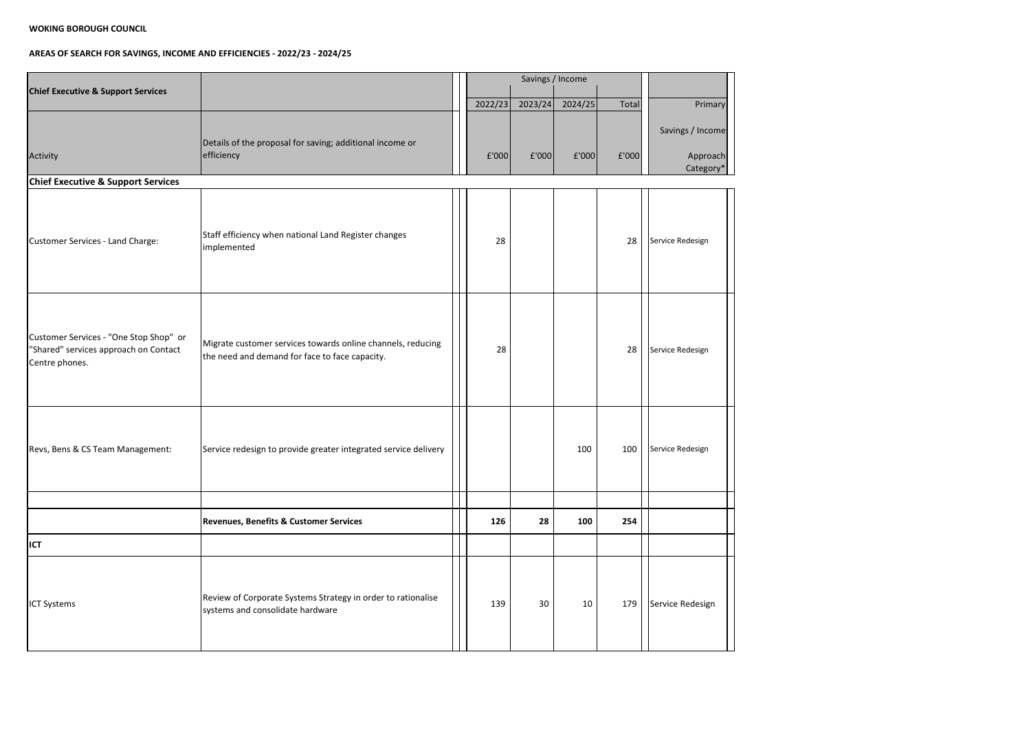| <b>Chief Executive &amp; Support Services</b>                                                     |                                                                                                               |         |         | Savings / Income |       |                                           |
|---------------------------------------------------------------------------------------------------|---------------------------------------------------------------------------------------------------------------|---------|---------|------------------|-------|-------------------------------------------|
|                                                                                                   |                                                                                                               | 2022/23 | 2023/24 | 2024/25          | Total | Primary                                   |
| Activity                                                                                          | Details of the proposal for saving; additional income or<br>efficiency                                        | f'000   | f'000   | f'000            | f'000 | Savings / Income<br>Approach<br>Category* |
| <b>Chief Executive &amp; Support Services</b>                                                     |                                                                                                               |         |         |                  |       |                                           |
| Customer Services - Land Charge:                                                                  | Staff efficiency when national Land Register changes<br>implemented                                           | 28      |         |                  | 28    | Service Redesign                          |
| Customer Services - "One Stop Shop" or<br>"Shared" services approach on Contact<br>Centre phones. | Migrate customer services towards online channels, reducing<br>the need and demand for face to face capacity. | 28      |         |                  | 28    | Service Redesign                          |
| Revs, Bens & CS Team Management:                                                                  | Service redesign to provide greater integrated service delivery                                               |         |         | 100              | 100   | Service Redesign                          |
|                                                                                                   |                                                                                                               |         |         |                  |       |                                           |
|                                                                                                   | <b>Revenues, Benefits &amp; Customer Services</b>                                                             | 126     | 28      | 100              | 254   |                                           |
| <b>ICT</b>                                                                                        |                                                                                                               |         |         |                  |       |                                           |
| <b>ICT Systems</b>                                                                                | Review of Corporate Systems Strategy in order to rationalise<br>systems and consolidate hardware              | 139     | 30      | 10               | 179   | Service Redesign                          |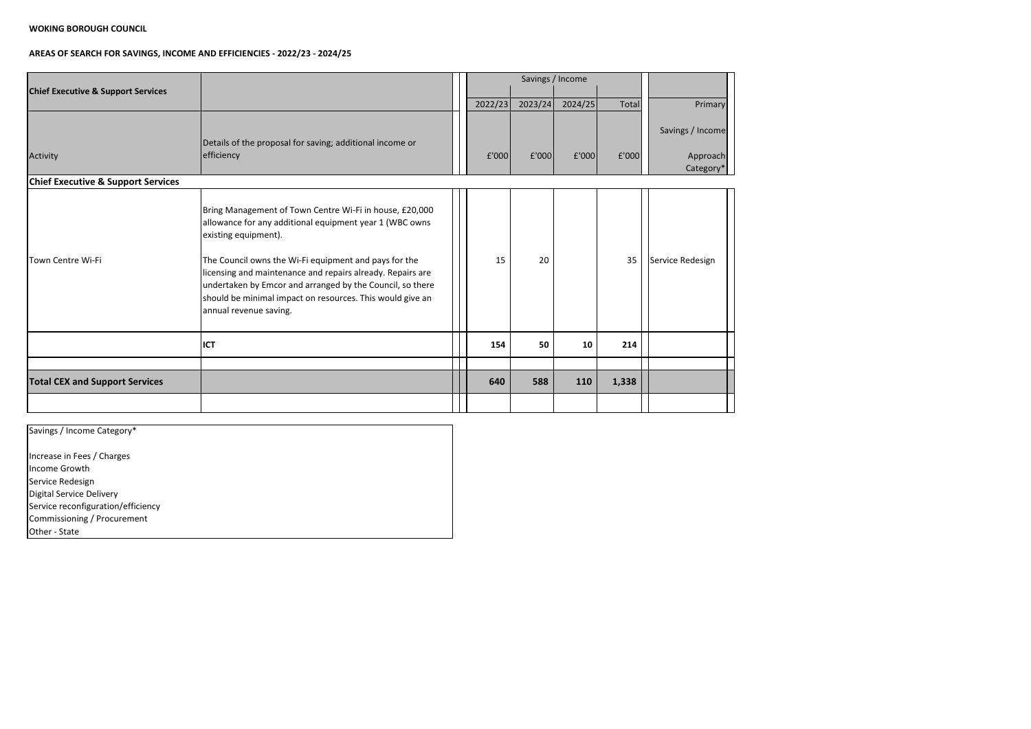| <b>Chief Executive &amp; Support Services</b> |                                                                                                                                                                                                                                                                                                                                                                                                                       |         |         | Savings / Income |       |                                           |
|-----------------------------------------------|-----------------------------------------------------------------------------------------------------------------------------------------------------------------------------------------------------------------------------------------------------------------------------------------------------------------------------------------------------------------------------------------------------------------------|---------|---------|------------------|-------|-------------------------------------------|
|                                               |                                                                                                                                                                                                                                                                                                                                                                                                                       | 2022/23 | 2023/24 | 2024/25          | Total | Primary                                   |
| Activity                                      | Details of the proposal for saving; additional income or<br>efficiency                                                                                                                                                                                                                                                                                                                                                | f'000   | f'000   | £'000            | £'000 | Savings / Income<br>Approach<br>Category* |
| <b>Chief Executive &amp; Support Services</b> |                                                                                                                                                                                                                                                                                                                                                                                                                       |         |         |                  |       |                                           |
| Town Centre Wi-Fi                             | Bring Management of Town Centre Wi-Fi in house, £20,000<br>allowance for any additional equipment year 1 (WBC owns<br>existing equipment).<br>The Council owns the Wi-Fi equipment and pays for the<br>licensing and maintenance and repairs already. Repairs are<br>undertaken by Emcor and arranged by the Council, so there<br>should be minimal impact on resources. This would give an<br>annual revenue saving. | 15      | 20      |                  | 35    | Service Redesign                          |
|                                               | <b>ICT</b>                                                                                                                                                                                                                                                                                                                                                                                                            | 154     | 50      | 10               | 214   |                                           |
|                                               |                                                                                                                                                                                                                                                                                                                                                                                                                       |         |         |                  |       |                                           |
| <b>Total CEX and Support Services</b>         |                                                                                                                                                                                                                                                                                                                                                                                                                       | 640     | 588     | 110              | 1,338 |                                           |
|                                               |                                                                                                                                                                                                                                                                                                                                                                                                                       |         |         |                  |       |                                           |

| Savings / Income Category*         |  |
|------------------------------------|--|
| Increase in Fees / Charges         |  |
| lIncome Growth                     |  |
| Service Redesign                   |  |
| Digital Service Delivery           |  |
| Service reconfiguration/efficiency |  |
| Commissioning / Procurement        |  |
| Other - State                      |  |